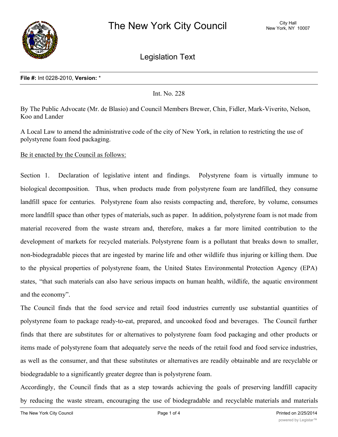

Legislation Text

### **File #:** Int 0228-2010, **Version:** \*

Int. No. 228

By The Public Advocate (Mr. de Blasio) and Council Members Brewer, Chin, Fidler, Mark-Viverito, Nelson, Koo and Lander

A Local Law to amend the administrative code of the city of New York, in relation to restricting the use of polystyrene foam food packaging.

Be it enacted by the Council as follows:

Section 1. Declaration of legislative intent and findings. Polystyrene foam is virtually immune to biological decomposition. Thus, when products made from polystyrene foam are landfilled, they consume landfill space for centuries. Polystyrene foam also resists compacting and, therefore, by volume, consumes more landfill space than other types of materials, such as paper. In addition, polystyrene foam is not made from material recovered from the waste stream and, therefore, makes a far more limited contribution to the development of markets for recycled materials. Polystyrene foam is a pollutant that breaks down to smaller, non-biodegradable pieces that are ingested by marine life and other wildlife thus injuring or killing them. Due to the physical properties of polystyrene foam, the United States Environmental Protection Agency (EPA) states, "that such materials can also have serious impacts on human health, wildlife, the aquatic environment and the economy".

The Council finds that the food service and retail food industries currently use substantial quantities of polystyrene foam to package ready-to-eat, prepared, and uncooked food and beverages. The Council further finds that there are substitutes for or alternatives to polystyrene foam food packaging and other products or items made of polystyrene foam that adequately serve the needs of the retail food and food service industries, as well as the consumer, and that these substitutes or alternatives are readily obtainable and are recyclable or biodegradable to a significantly greater degree than is polystyrene foam.

Accordingly, the Council finds that as a step towards achieving the goals of preserving landfill capacity by reducing the waste stream, encouraging the use of biodegradable and recyclable materials and materials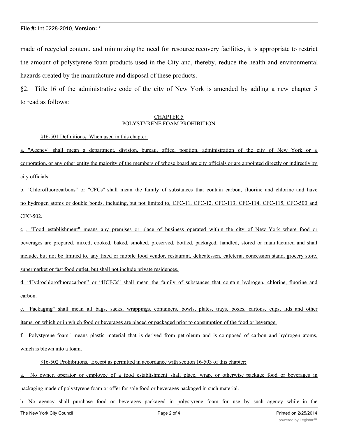# **File #:** Int 0228-2010, **Version:** \*

made of recycled content, and minimizing the need for resource recovery facilities, it is appropriate to restrict the amount of polystyrene foam products used in the City and, thereby, reduce the health and environmental hazards created by the manufacture and disposal of these products.

§2. Title 16 of the administrative code of the city of New York is amended by adding a new chapter 5 to read as follows:

#### CHAPTER 5 POLYSTYRENE FOAM PROHIBITION

### §16-501 Definitions**.** When used in this chapter:

a. "Agency" shall mean a department, division, bureau, office, position, administration of the city of New York or a corporation, or any other entity the majority of the members of whose board are city officials or are appointed directly or indirectly by city officials.

b. "Chlorofluorocarbons" or "CFCs" shall mean the family of substances that contain carbon, fluorine and chlorine and have no hydrogen atoms or double bonds, including, but not limited to, CFC-11, CFC-12, CFC-113, CFC-114, CFC-115, CFC-500 and CFC-502.

c . "Food establishment" means any premises or place of business operated within the city of New York where food or beverages are prepared, mixed, cooked, baked, smoked, preserved, bottled, packaged, handled, stored or manufactured and shall include, but not be limited to, any fixed or mobile food vendor, restaurant, delicatessen, cafeteria, concession stand, grocery store, supermarket or fast food outlet, but shall not include private residences.

d. "Hydrochlorofluorocarbon" or "HCFCs" shall mean the family of substances that contain hydrogen, chlorine, fluorine and carbon.

e. "Packaging" shall mean all bags, sacks, wrappings, containers, bowls, plates, trays, boxes, cartons, cups, lids and other items, on which or in which food or beverages are placed or packaged prior to consumption of the food or beverage.

f. "Polystyrene foam" means plastic material that is derived from petroleum and is composed of carbon and hydrogen atoms, which is blown into a foam.

§16-502 Prohibitions. Except as permitted in accordance with section 16-503 of this chapter:

a. No owner, operator or employee of a food establishment shall place, wrap, or otherwise package food or beverages in packaging made of polystyrene foam or offer for sale food or beverages packaged in such material.

b. No agency shall purchase food or beverages packaged in polystyrene foam for use by such agency while in the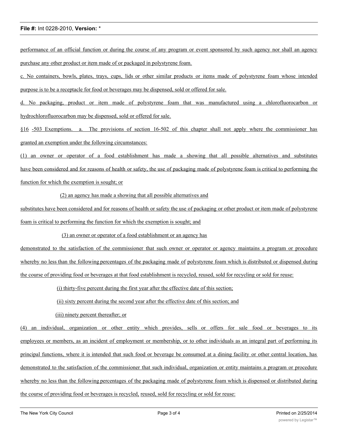#### **File #:** Int 0228-2010, **Version:** \*

performance of an official function or during the course of any program or event sponsored by such agency nor shall an agency purchase any other product or item made of or packaged in polystyrene foam.

c. No containers, bowls, plates, trays, cups, lids or other similar products or items made of polystyrene foam whose intended purpose is to be a receptacle for food or beverages may be dispensed, sold or offered for sale.

d. No packaging, product or item made of polystyrene foam that was manufactured using a chlorofluorocarbon or hydrochlorofluorocarbon may be dispensed, sold or offered for sale.

§16 -503 Exemptions. a. The provisions of section 16-502 of this chapter shall not apply where the commissioner has granted an exemption under the following circumstances:

(1) an owner or operator of a food establishment has made a showing that all possible alternatives and substitutes have been considered and for reasons of health or safety, the use of packaging made of polystyrene foam is critical to performing the function for which the exemption is sought; or

(2) an agency has made a showing that all possible alternatives and

substitutes have been considered and for reasons of health or safety the use of packaging or other product or item made of polystyrene foam is critical to performing the function for which the exemption is sought; and

(3) an owner or operator of a food establishment or an agency has

demonstrated to the satisfaction of the commissioner that such owner or operator or agency maintains a program or procedure whereby no less than the following percentages of the packaging made of polystyrene foam which is distributed or dispensed during the course of providing food or beverages at that food establishment is recycled, reused, sold for recycling or sold for reuse:

(i) thirty-five percent during the first year after the effective date of this section;

(ii) sixty percent during the second year after the effective date of this section; and

(iii) ninety percent thereafter; or

(4) an individual, organization or other entity which provides, sells or offers for sale food or beverages to its employees or members, as an incident of employment or membership, or to other individuals as an integral part of performing its principal functions, where it is intended that such food or beverage be consumed at a dining facility or other central location, has demonstrated to the satisfaction of the commissioner that such individual, organization or entity maintains a program or procedure whereby no less than the following percentages of the packaging made of polystyrene foam which is dispensed or distributed during the course of providing food or beverages is recycled, reused, sold for recycling or sold for reuse: